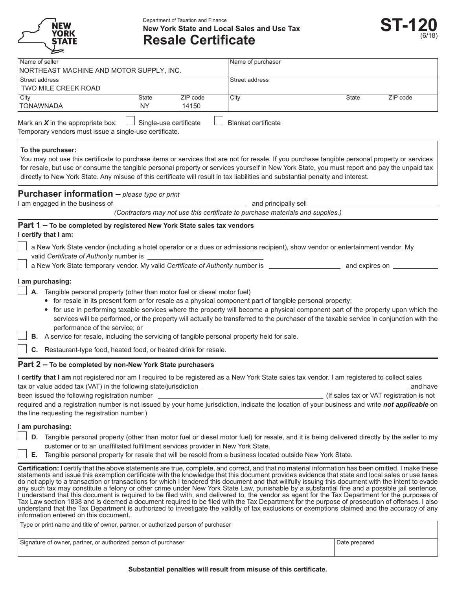

Department of Taxation and Finance **New York State and Local Sales and Use Tax Resale Certificate** 



| Name of seller                                                                                |              |                        | Name of purchaser                                                                                                                              |              |          |
|-----------------------------------------------------------------------------------------------|--------------|------------------------|------------------------------------------------------------------------------------------------------------------------------------------------|--------------|----------|
| NORTHEAST MACHINE AND MOTOR SUPPLY, INC.                                                      |              |                        |                                                                                                                                                |              |          |
| Street address                                                                                |              |                        | Street address                                                                                                                                 |              |          |
| TWO MILE CREEK ROAD                                                                           |              |                        |                                                                                                                                                |              |          |
| City                                                                                          | <b>State</b> | ZIP code               | City                                                                                                                                           | <b>State</b> | ZIP code |
| <b>TONAWNADA</b>                                                                              | NY           | 14150                  |                                                                                                                                                |              |          |
| Mark an $X$ in the appropriate box:<br>Temporary vendors must issue a single-use certificate. |              | Single-use certificate | <b>Blanket certificate</b>                                                                                                                     |              |          |
| To the purchaser:                                                                             |              |                        | You may not use this certificate to purchase items or services that are not for resale. If you purchase tangible personal property or services |              |          |

You may not use this certificate to purchase items or services that are not for resale. If you purchase tangible personal property or services for resale, but use or consume the tangible personal property or services yourself in New York State, you must report and pay the unpaid tax directly to New York State. Any misuse of this certificate will result in tax liabilities and substantial penalty and interest.

## **Purchaser information –** *please type or print*

I am engaged in the business of and principally sell

*(Contractors may not use this certificate to purchase materials and supplies.)* 

# **Part 1 – To be completed by registered New York State sales tax vendors**

| I certify that I am: |  |  |
|----------------------|--|--|
|----------------------|--|--|

- a New York State vendor (including a hotel operator or a dues or admissions recipient), show vendor or entertainment vendor. My valid *Certificate of Authority* number is
- D<sub>1</sub> a New York State temporary vendor. My valid Certificate of Authority number is **confirm to the State of Authority** number is **a** and expires on <u>the state of</u> and expires on the state of the state of the state of the

### **l** am purchasing:

- **A.** Tangible personal property (other than motor fuel or diesel motor fuel)
	- **•** for resale in its present form or for resale as a physical component part of tangible personal property;
	- for use in performing taxable services where the property will become a physical component part of the property upon which the services will be performed, or the property will actually be transferred to the purchaser of the taxable service in conjunction with the performance of the service; or
	- **B.** A service for resale, including the servicing of tangible personal property held for sale.

**C.** Restaurant-type food, heated food, or heated drink for resale.

# **Part 2 – To be completed by non-New York State purchasers**

| I certify that I am not registered nor am I required to be registered as a New York State sales tax vendor. I am registered to collect sales   |                                          |  |  |
|------------------------------------------------------------------------------------------------------------------------------------------------|------------------------------------------|--|--|
| tax or value added tax (VAT) in the following state/jurisdiction                                                                               | and have                                 |  |  |
| been issued the following registration number                                                                                                  | (If sales tax or VAT registration is not |  |  |
| required and a registration number is not issued by your home jurisdiction, indicate the location of your business and write not applicable on |                                          |  |  |
| the line requesting the registration number.)                                                                                                  |                                          |  |  |

# **l** am purchasing:

- **D.** Tangible personal property (other than motor fuel or diesel motor fuel) for resale, and it is being delivered directly by the seller to my customer or to an unaffiliated fulfillment services provider in New York State.
- **E.** Tangible personal property for resale that will be resold from a business located outside New York State.

Certification: I certify that the above statements are true, complete, and correct, and that no material information has been omitted. I make these statements and issue this exemption certificate with the knowledge that this document provides evidence that state and local sales or use taxes do not apply to a transaction or transactions for which I tendered this document and that willfully issuing this document with the intent to evade any such tax may constitute a felony or other crime under New York State Law, punishable by a substantial fine and a possible jail sentence. I understand that this document is required to be filed with, and delivered to, the vendor as agent for the Tax Department for the purposes of Tax Law section 1838 and is deemed a document required to be filed with the Tax Department for the purpose of prosecution of offenses. I also understand that the Tax Department is authorized to investigate the validity of tax exclusions or exemptions claimed and the accuracy of any information entered on this document.

| Type or print name and title of owner, partner, or authorized person of purchaser |
|-----------------------------------------------------------------------------------|
|                                                                                   |

Signature of owner, partner, or authorized person of purchaser and the state of the state of owner, partner, or authorized person of purchaser